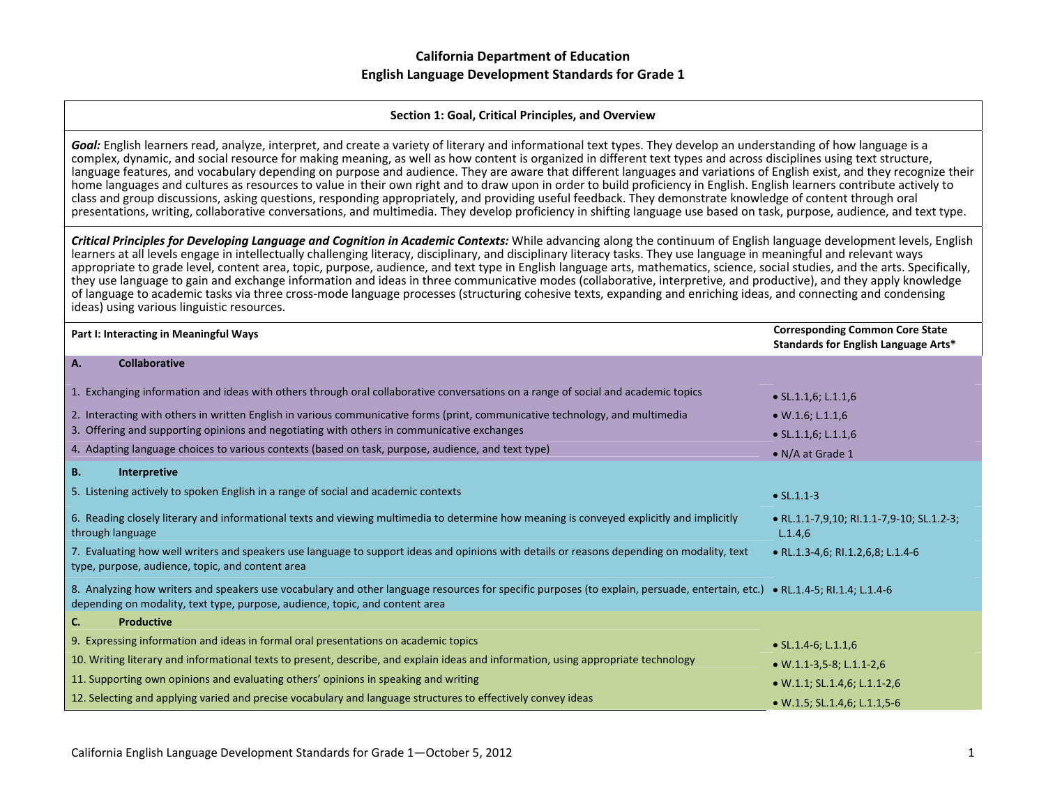#### **Section 1: Goal, Critical Principles, and Overview**

*Goal:* English learners read, analyze, interpret, and create <sup>a</sup> variety of literary and informational text types. They develop an understanding of how language is <sup>a</sup> complex, dynamic, and social resource for making meaning, as well as how content is organized in different text types and across disciplines using text structure, language features, and vocabulary depending on purpose and audience. They are aware that different languages and variations of English exist, and they recognize their home languages and cultures as resources to value in their own right and to draw upon in order to build proficiency in English. English learners contribute actively to class and group discussions, asking questions, responding appropriately, and providing useful feedback. They demonstrate knowledge of content through oral presentations, writing, collaborative conversations, and multimedia. They develop proficiency in shifting language use based on task, purpose, audience, and text type.

Critical Principles for Developing Language and Cognition in Academic Contexts: While advancing along the continuum of English language development levels, English learners at all levels engage in intellectually challenging literacy, disciplinary, and disciplinary literacy tasks. They use language in meaningful and relevant ways appropriate to grade level, content area, topic, purpose, audience, and text type in English language arts, mathematics, science, social studies, and the arts. Specifically, they use language to gain and exchange information and ideas in three communicative modes (collaborative, interpretive, and productive), and they apply knowledge of language to academic tasks via three cross‐mode language processes (structuring cohesive texts, expanding and enriching ideas, and connecting and condensing ideas) using various linguistic resources.

| Part I: Interacting in Meaningful Ways                                                                                                                                                                                                                         | <b>Corresponding Common Core State</b><br>Standards for English Language Arts* |
|----------------------------------------------------------------------------------------------------------------------------------------------------------------------------------------------------------------------------------------------------------------|--------------------------------------------------------------------------------|
| <b>Collaborative</b><br>A.                                                                                                                                                                                                                                     |                                                                                |
| 1. Exchanging information and ideas with others through oral collaborative conversations on a range of social and academic topics                                                                                                                              | $\bullet$ SL.1.1,6; L.1.1,6                                                    |
| 2. Interacting with others in written English in various communicative forms (print, communicative technology, and multimedia                                                                                                                                  | $\bullet$ W.1.6; L.1.1,6                                                       |
| 3. Offering and supporting opinions and negotiating with others in communicative exchanges                                                                                                                                                                     | $\bullet$ SL.1.1,6; L.1.1,6                                                    |
| 4. Adapting language choices to various contexts (based on task, purpose, audience, and text type)                                                                                                                                                             | • N/A at Grade 1                                                               |
| <b>B.</b><br>Interpretive                                                                                                                                                                                                                                      |                                                                                |
| 5. Listening actively to spoken English in a range of social and academic contexts                                                                                                                                                                             | $\bullet$ SL.1.1-3                                                             |
| 6. Reading closely literary and informational texts and viewing multimedia to determine how meaning is conveyed explicitly and implicitly<br>through language                                                                                                  | • RL.1.1-7,9,10; RI.1.1-7,9-10; SL.1.2-3;<br>L.1.4,6                           |
| 7. Evaluating how well writers and speakers use language to support ideas and opinions with details or reasons depending on modality, text<br>type, purpose, audience, topic, and content area                                                                 | • RL.1.3-4,6; RI.1.2,6,8; L.1.4-6                                              |
| 8. Analyzing how writers and speakers use vocabulary and other language resources for specific purposes (to explain, persuade, entertain, etc.) . RL.1.4-5; RL.1.4-5; RL.1.4-6<br>depending on modality, text type, purpose, audience, topic, and content area |                                                                                |
| <b>Productive</b><br>C.                                                                                                                                                                                                                                        |                                                                                |
| 9. Expressing information and ideas in formal oral presentations on academic topics                                                                                                                                                                            | $\bullet$ SL.1.4-6; L.1.1,6                                                    |
| 10. Writing literary and informational texts to present, describe, and explain ideas and information, using appropriate technology                                                                                                                             | $\bullet$ W.1.1-3,5-8; L.1.1-2,6                                               |
| 11. Supporting own opinions and evaluating others' opinions in speaking and writing                                                                                                                                                                            | $\bullet$ W.1.1; SL.1.4,6; L.1.1-2,6                                           |
| 12. Selecting and applying varied and precise vocabulary and language structures to effectively convey ideas                                                                                                                                                   | $\bullet$ W.1.5; SL.1.4,6; L.1.1,5-6                                           |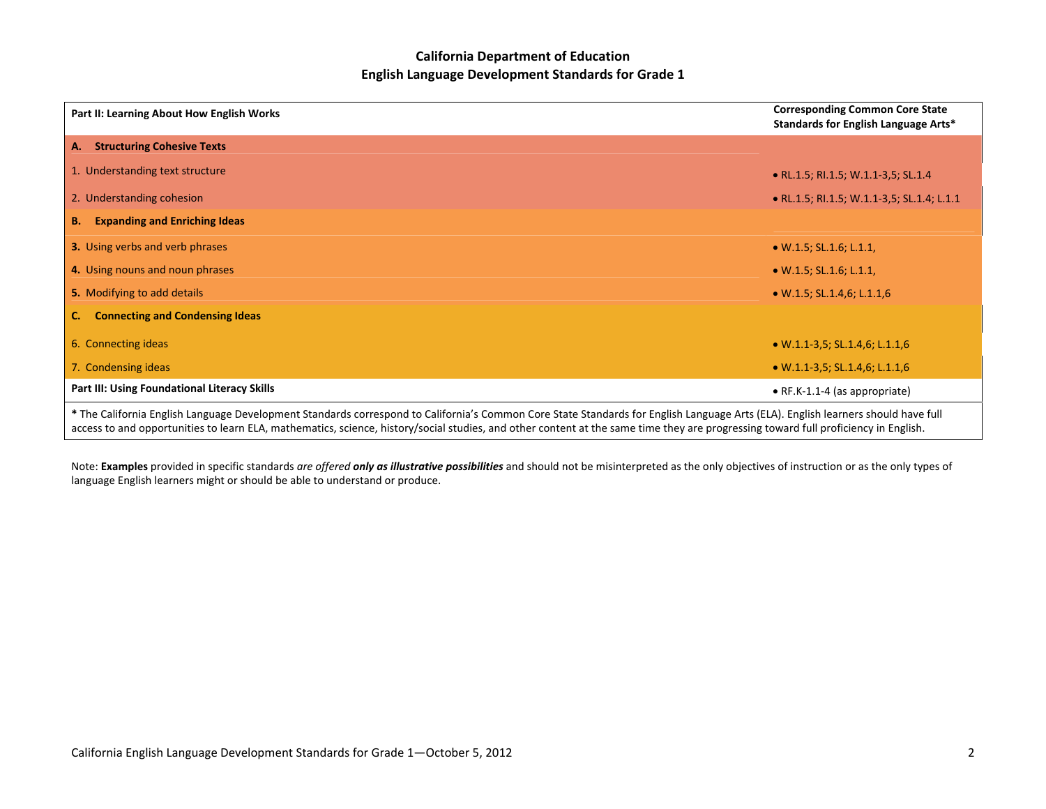| Part II: Learning About How English Works                                                                                                                                                                                                                                                                                                                                | <b>Corresponding Common Core State</b><br>Standards for English Language Arts* |
|--------------------------------------------------------------------------------------------------------------------------------------------------------------------------------------------------------------------------------------------------------------------------------------------------------------------------------------------------------------------------|--------------------------------------------------------------------------------|
| <b>Structuring Cohesive Texts</b><br>A.                                                                                                                                                                                                                                                                                                                                  |                                                                                |
| 1. Understanding text structure                                                                                                                                                                                                                                                                                                                                          | • RL.1.5; RI.1.5; W.1.1-3,5; SL.1.4                                            |
| 2. Understanding cohesion                                                                                                                                                                                                                                                                                                                                                | • RL.1.5; RI.1.5; W.1.1-3,5; SL.1.4; L.1.1                                     |
| <b>Expanding and Enriching Ideas</b><br><b>B.</b>                                                                                                                                                                                                                                                                                                                        |                                                                                |
| <b>3.</b> Using verbs and verb phrases                                                                                                                                                                                                                                                                                                                                   | $\bullet$ W.1.5; SL.1.6; L.1.1,                                                |
| 4. Using nouns and noun phrases                                                                                                                                                                                                                                                                                                                                          | $\bullet$ W.1.5; SL.1.6; L.1.1,                                                |
| 5. Modifying to add details                                                                                                                                                                                                                                                                                                                                              | $\bullet$ W.1.5; SL.1.4,6; L.1.1,6                                             |
| <b>Connecting and Condensing Ideas</b>                                                                                                                                                                                                                                                                                                                                   |                                                                                |
| 6. Connecting ideas                                                                                                                                                                                                                                                                                                                                                      | $\bullet$ W.1.1-3,5; SL.1.4,6; L.1.1,6                                         |
| 7. Condensing ideas                                                                                                                                                                                                                                                                                                                                                      | $\bullet$ W.1.1-3,5; SL.1.4,6; L.1.1,6                                         |
| Part III: Using Foundational Literacy Skills                                                                                                                                                                                                                                                                                                                             | $\bullet$ RF.K-1.1-4 (as appropriate)                                          |
| * The California English Language Development Standards correspond to California's Common Core State Standards for English Language Arts (ELA). English learners should have full<br>access to and opportunities to learn ELA, mathematics, science, history/social studies, and other content at the same time they are progressing toward full proficiency in English. |                                                                                |

Note: Examples provided in specific standards are offered only as illustrative possibilities and should not be misinterpreted as the only objectives of instruction or as the only types of language English learners might or should be able to understand or produce.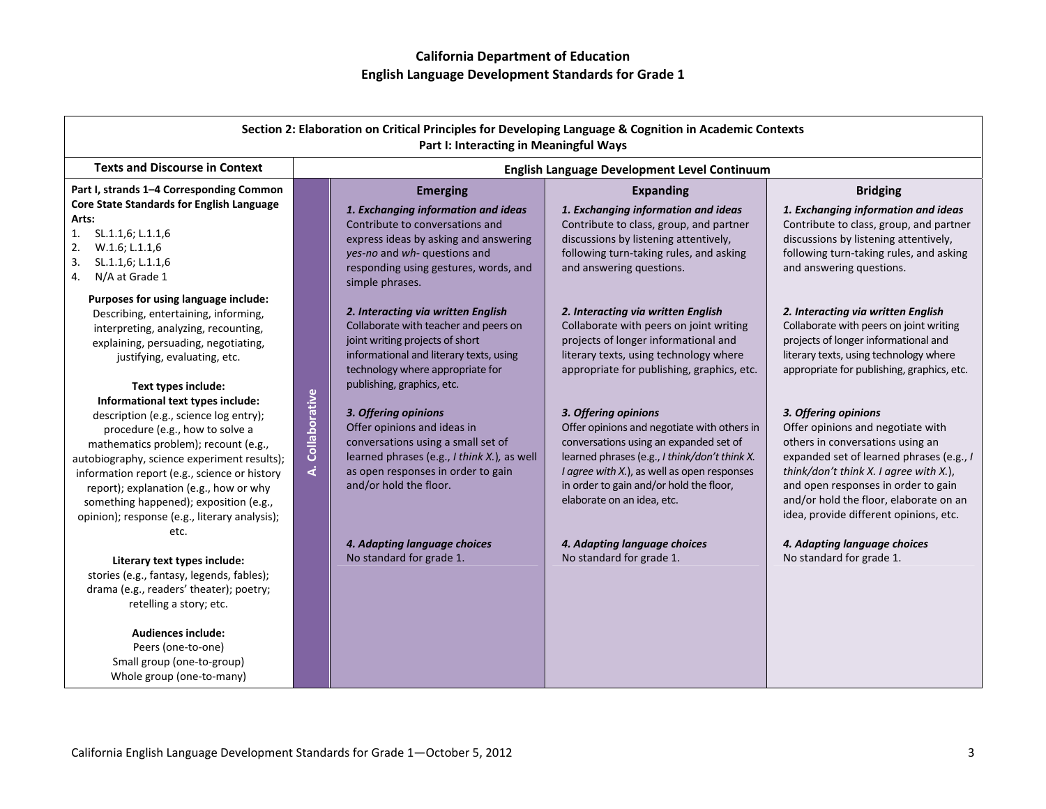|                                                                                                                                                                                                                                                                                                                                                                                                                                                                                                                                                                                                                                                                                                                                                                                                                                                               | Section 2: Elaboration on Critical Principles for Developing Language & Cognition in Academic Contexts<br>Part I: Interacting in Meaningful Ways                                                                                                                                                                                                                                                                                                                                                                                 |                                                                                                                                                                                                                                                                                                                                                                                                                                                                                                                                                                     |                                                                                                                                                                                                                                                                                                                                                                                                                                                                                                                                                                                             |
|---------------------------------------------------------------------------------------------------------------------------------------------------------------------------------------------------------------------------------------------------------------------------------------------------------------------------------------------------------------------------------------------------------------------------------------------------------------------------------------------------------------------------------------------------------------------------------------------------------------------------------------------------------------------------------------------------------------------------------------------------------------------------------------------------------------------------------------------------------------|----------------------------------------------------------------------------------------------------------------------------------------------------------------------------------------------------------------------------------------------------------------------------------------------------------------------------------------------------------------------------------------------------------------------------------------------------------------------------------------------------------------------------------|---------------------------------------------------------------------------------------------------------------------------------------------------------------------------------------------------------------------------------------------------------------------------------------------------------------------------------------------------------------------------------------------------------------------------------------------------------------------------------------------------------------------------------------------------------------------|---------------------------------------------------------------------------------------------------------------------------------------------------------------------------------------------------------------------------------------------------------------------------------------------------------------------------------------------------------------------------------------------------------------------------------------------------------------------------------------------------------------------------------------------------------------------------------------------|
| <b>Texts and Discourse in Context</b>                                                                                                                                                                                                                                                                                                                                                                                                                                                                                                                                                                                                                                                                                                                                                                                                                         |                                                                                                                                                                                                                                                                                                                                                                                                                                                                                                                                  | English Language Development Level Continuum                                                                                                                                                                                                                                                                                                                                                                                                                                                                                                                        |                                                                                                                                                                                                                                                                                                                                                                                                                                                                                                                                                                                             |
| Part I, strands 1-4 Corresponding Common<br>Core State Standards for English Language<br>Arts:<br>1.<br>SL.1.1,6; L.1.1,6<br>W.1.6; L.1.1,6<br>2.<br>3.<br>SL.1.1,6; L.1.1,6<br>N/A at Grade 1<br>4.                                                                                                                                                                                                                                                                                                                                                                                                                                                                                                                                                                                                                                                          | <b>Emerging</b><br>1. Exchanging information and ideas<br>Contribute to conversations and<br>express ideas by asking and answering<br>yes-no and wh- questions and<br>responding using gestures, words, and<br>simple phrases.                                                                                                                                                                                                                                                                                                   | <b>Expanding</b><br>1. Exchanging information and ideas<br>Contribute to class, group, and partner<br>discussions by listening attentively,<br>following turn-taking rules, and asking<br>and answering questions.                                                                                                                                                                                                                                                                                                                                                  | <b>Bridging</b><br>1. Exchanging information and ideas<br>Contribute to class, group, and partner<br>discussions by listening attentively,<br>following turn-taking rules, and asking<br>and answering questions.                                                                                                                                                                                                                                                                                                                                                                           |
| Purposes for using language include:<br>Describing, entertaining, informing,<br>interpreting, analyzing, recounting,<br>explaining, persuading, negotiating,<br>justifying, evaluating, etc.<br>Text types include:<br>Informational text types include:<br>description (e.g., science log entry);<br>procedure (e.g., how to solve a<br>mathematics problem); recount (e.g.,<br>autobiography, science experiment results);<br>information report (e.g., science or history<br>report); explanation (e.g., how or why<br>something happened); exposition (e.g.,<br>opinion); response (e.g., literary analysis);<br>etc.<br>Literary text types include:<br>stories (e.g., fantasy, legends, fables);<br>drama (e.g., readers' theater); poetry;<br>retelling a story; etc.<br><b>Audiences include:</b><br>Peers (one-to-one)<br>Small group (one-to-group) | 2. Interacting via written English<br>Collaborate with teacher and peers on<br>joint writing projects of short<br>informational and literary texts, using<br>technology where appropriate for<br>publishing, graphics, etc.<br>Collaborative<br>3. Offering opinions<br>Offer opinions and ideas in<br>conversations using a small set of<br>learned phrases (e.g., I think X.), as well<br><u>خ</u><br>as open responses in order to gain<br>and/or hold the floor.<br>4. Adapting language choices<br>No standard for grade 1. | 2. Interacting via written English<br>Collaborate with peers on joint writing<br>projects of longer informational and<br>literary texts, using technology where<br>appropriate for publishing, graphics, etc.<br>3. Offering opinions<br>Offer opinions and negotiate with others in<br>conversations using an expanded set of<br>learned phrases (e.g., I think/don't think X.<br>I agree with X.), as well as open responses<br>in order to gain and/or hold the floor,<br>elaborate on an idea, etc.<br>4. Adapting language choices<br>No standard for grade 1. | 2. Interacting via written English<br>Collaborate with peers on joint writing<br>projects of longer informational and<br>literary texts, using technology where<br>appropriate for publishing, graphics, etc.<br>3. Offering opinions<br>Offer opinions and negotiate with<br>others in conversations using an<br>expanded set of learned phrases (e.g., I<br>think/don't think X. I agree with X.),<br>and open responses in order to gain<br>and/or hold the floor, elaborate on an<br>idea, provide different opinions, etc.<br>4. Adapting language choices<br>No standard for grade 1. |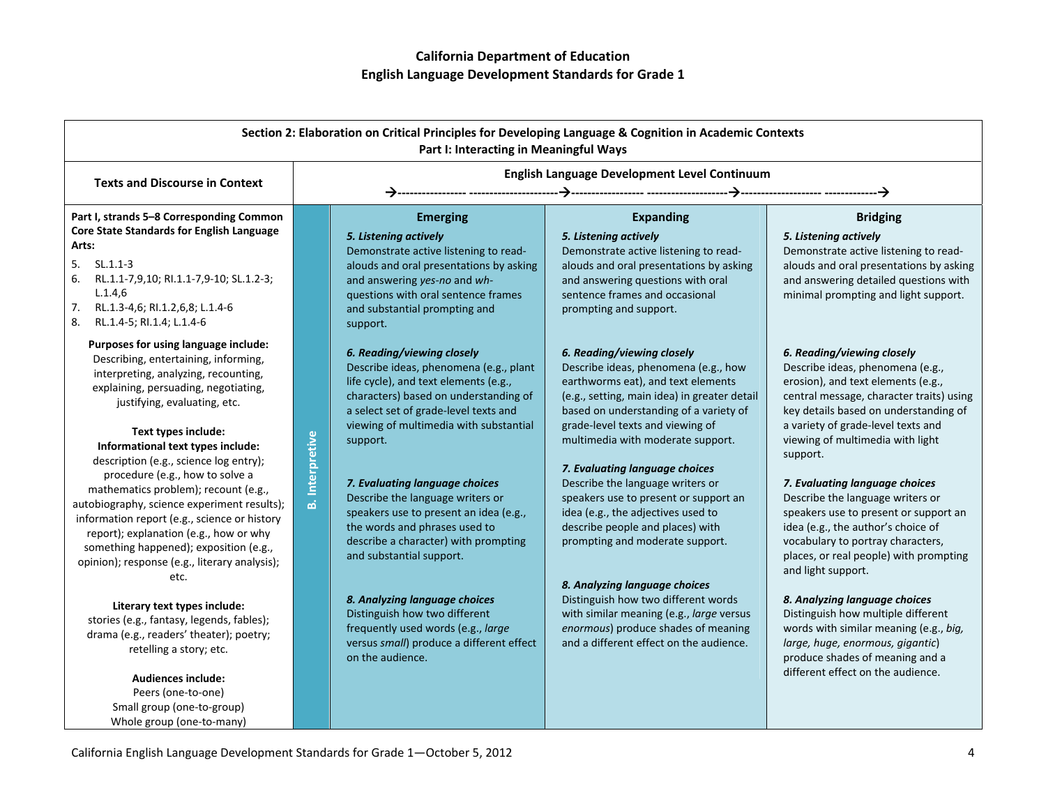| Section 2: Elaboration on Critical Principles for Developing Language & Cognition in Academic Contexts<br>Part I: Interacting in Meaningful Ways                                                                                                                                                                                                                                                                                                                                                                                                                                                                                                                                                                                                  |                        |                                                                                                                                                                                                                                                                                                                                                                                                                                                                                                                                                                                                                                |                                                                                                                                                                                                                                                                                                                                                                                                                                                                                                                                                                                                                                                                                                               |                                                                                                                                                                                                                                                                                                                                                                                                                                                                                                                                                                                                                                                                                                |
|---------------------------------------------------------------------------------------------------------------------------------------------------------------------------------------------------------------------------------------------------------------------------------------------------------------------------------------------------------------------------------------------------------------------------------------------------------------------------------------------------------------------------------------------------------------------------------------------------------------------------------------------------------------------------------------------------------------------------------------------------|------------------------|--------------------------------------------------------------------------------------------------------------------------------------------------------------------------------------------------------------------------------------------------------------------------------------------------------------------------------------------------------------------------------------------------------------------------------------------------------------------------------------------------------------------------------------------------------------------------------------------------------------------------------|---------------------------------------------------------------------------------------------------------------------------------------------------------------------------------------------------------------------------------------------------------------------------------------------------------------------------------------------------------------------------------------------------------------------------------------------------------------------------------------------------------------------------------------------------------------------------------------------------------------------------------------------------------------------------------------------------------------|------------------------------------------------------------------------------------------------------------------------------------------------------------------------------------------------------------------------------------------------------------------------------------------------------------------------------------------------------------------------------------------------------------------------------------------------------------------------------------------------------------------------------------------------------------------------------------------------------------------------------------------------------------------------------------------------|
| <b>Texts and Discourse in Context</b>                                                                                                                                                                                                                                                                                                                                                                                                                                                                                                                                                                                                                                                                                                             |                        |                                                                                                                                                                                                                                                                                                                                                                                                                                                                                                                                                                                                                                | English Language Development Level Continuum                                                                                                                                                                                                                                                                                                                                                                                                                                                                                                                                                                                                                                                                  |                                                                                                                                                                                                                                                                                                                                                                                                                                                                                                                                                                                                                                                                                                |
| Part I, strands 5-8 Corresponding Common<br>Core State Standards for English Language<br>Arts:<br>$SL.1.1-3$<br>5.<br>6.<br>RL.1.1-7,9,10; RI.1.1-7,9-10; SL.1.2-3;<br>L.1.4.6<br>7.<br>RL.1.3-4,6; RI.1.2,6,8; L.1.4-6<br>8.<br>RL.1.4-5; RI.1.4; L.1.4-6                                                                                                                                                                                                                                                                                                                                                                                                                                                                                        |                        | <b>Emerging</b><br>5. Listening actively<br>Demonstrate active listening to read-<br>alouds and oral presentations by asking<br>and answering yes-no and wh-<br>questions with oral sentence frames<br>and substantial prompting and<br>support.                                                                                                                                                                                                                                                                                                                                                                               | <b>Expanding</b><br>5. Listening actively<br>Demonstrate active listening to read-<br>alouds and oral presentations by asking<br>and answering questions with oral<br>sentence frames and occasional<br>prompting and support.                                                                                                                                                                                                                                                                                                                                                                                                                                                                                | <b>Bridging</b><br>5. Listening actively<br>Demonstrate active listening to read-<br>alouds and oral presentations by asking<br>and answering detailed questions with<br>minimal prompting and light support.                                                                                                                                                                                                                                                                                                                                                                                                                                                                                  |
| Purposes for using language include:<br>Describing, entertaining, informing,<br>interpreting, analyzing, recounting,<br>explaining, persuading, negotiating,<br>justifying, evaluating, etc.<br>Text types include:<br>Informational text types include:<br>description (e.g., science log entry);<br>procedure (e.g., how to solve a<br>mathematics problem); recount (e.g.,<br>autobiography, science experiment results);<br>information report (e.g., science or history<br>report); explanation (e.g., how or why<br>something happened); exposition (e.g.,<br>opinion); response (e.g., literary analysis);<br>etc.<br>Literary text types include:<br>stories (e.g., fantasy, legends, fables);<br>drama (e.g., readers' theater); poetry; | <b>B.</b> Interpretive | 6. Reading/viewing closely<br>Describe ideas, phenomena (e.g., plant<br>life cycle), and text elements (e.g.,<br>characters) based on understanding of<br>a select set of grade-level texts and<br>viewing of multimedia with substantial<br>support.<br>7. Evaluating language choices<br>Describe the language writers or<br>speakers use to present an idea (e.g.,<br>the words and phrases used to<br>describe a character) with prompting<br>and substantial support.<br>8. Analyzing language choices<br>Distinguish how two different<br>frequently used words (e.g., large<br>versus small) produce a different effect | 6. Reading/viewing closely<br>Describe ideas, phenomena (e.g., how<br>earthworms eat), and text elements<br>(e.g., setting, main idea) in greater detail<br>based on understanding of a variety of<br>grade-level texts and viewing of<br>multimedia with moderate support.<br>7. Evaluating language choices<br>Describe the language writers or<br>speakers use to present or support an<br>idea (e.g., the adjectives used to<br>describe people and places) with<br>prompting and moderate support.<br>8. Analyzing language choices<br>Distinguish how two different words<br>with similar meaning (e.g., large versus<br>enormous) produce shades of meaning<br>and a different effect on the audience. | 6. Reading/viewing closely<br>Describe ideas, phenomena (e.g.,<br>erosion), and text elements (e.g.,<br>central message, character traits) using<br>key details based on understanding of<br>a variety of grade-level texts and<br>viewing of multimedia with light<br>support.<br>7. Evaluating language choices<br>Describe the language writers or<br>speakers use to present or support an<br>idea (e.g., the author's choice of<br>vocabulary to portray characters,<br>places, or real people) with prompting<br>and light support.<br>8. Analyzing language choices<br>Distinguish how multiple different<br>words with similar meaning (e.g., big,<br>large, huge, enormous, gigantic) |
| retelling a story; etc.<br><b>Audiences include:</b><br>Peers (one-to-one)<br>Small group (one-to-group)<br>Whole group (one-to-many)                                                                                                                                                                                                                                                                                                                                                                                                                                                                                                                                                                                                             |                        | on the audience.                                                                                                                                                                                                                                                                                                                                                                                                                                                                                                                                                                                                               |                                                                                                                                                                                                                                                                                                                                                                                                                                                                                                                                                                                                                                                                                                               | produce shades of meaning and a<br>different effect on the audience.                                                                                                                                                                                                                                                                                                                                                                                                                                                                                                                                                                                                                           |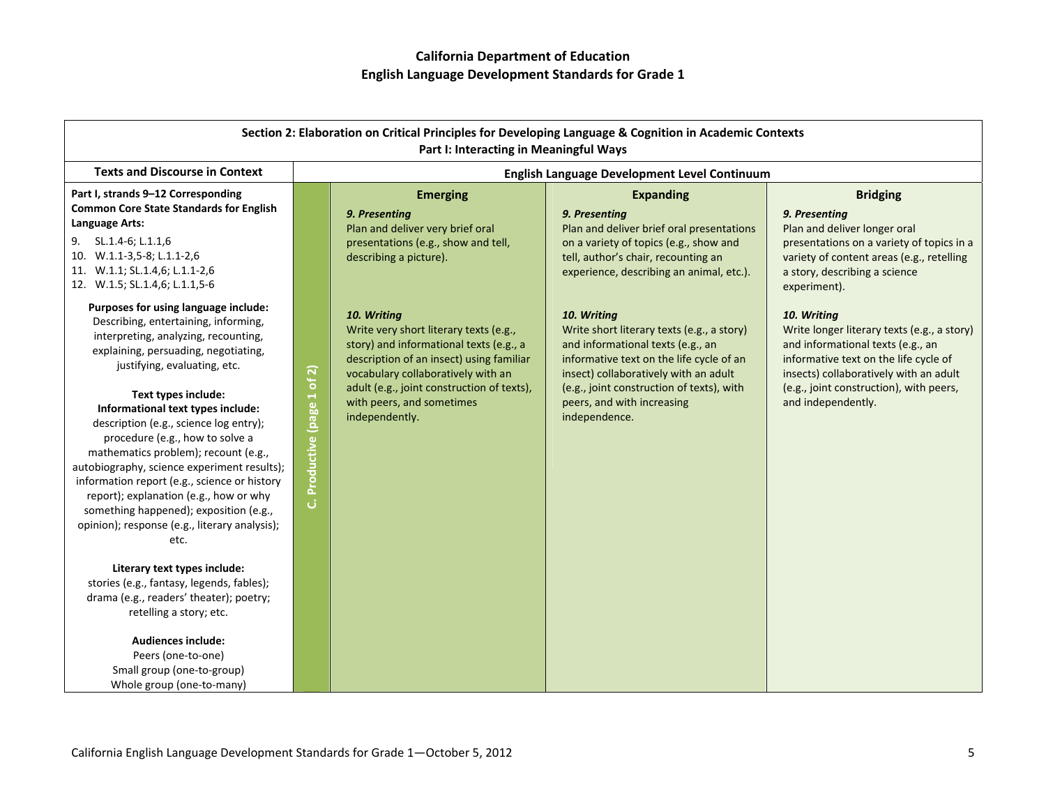|                                                                                                                                                                                                                                                                                                                                                                                                                                                                                                                                                                                                                                                                                                                                                                                                                                                                                            |                                                                                                                                                                                                                                                                                                                  | Part I: Interacting in Meaningful Ways | Section 2: Elaboration on Critical Principles for Developing Language & Cognition in Academic Contexts                                                                                                                                                                          |                                                                                                                                                                                                                                                     |
|--------------------------------------------------------------------------------------------------------------------------------------------------------------------------------------------------------------------------------------------------------------------------------------------------------------------------------------------------------------------------------------------------------------------------------------------------------------------------------------------------------------------------------------------------------------------------------------------------------------------------------------------------------------------------------------------------------------------------------------------------------------------------------------------------------------------------------------------------------------------------------------------|------------------------------------------------------------------------------------------------------------------------------------------------------------------------------------------------------------------------------------------------------------------------------------------------------------------|----------------------------------------|---------------------------------------------------------------------------------------------------------------------------------------------------------------------------------------------------------------------------------------------------------------------------------|-----------------------------------------------------------------------------------------------------------------------------------------------------------------------------------------------------------------------------------------------------|
| <b>Texts and Discourse in Context</b>                                                                                                                                                                                                                                                                                                                                                                                                                                                                                                                                                                                                                                                                                                                                                                                                                                                      |                                                                                                                                                                                                                                                                                                                  |                                        | English Language Development Level Continuum                                                                                                                                                                                                                                    |                                                                                                                                                                                                                                                     |
| Part I, strands 9-12 Corresponding<br><b>Common Core State Standards for English</b><br>Language Arts:<br>9. SL.1.4-6; L.1.1,6<br>10. W.1.1-3,5-8; L.1.1-2,6<br>11. W.1.1; SL.1.4,6; L.1.1-2,6<br>12. W.1.5; SL.1.4,6; L.1.1,5-6                                                                                                                                                                                                                                                                                                                                                                                                                                                                                                                                                                                                                                                           | <b>Emerging</b><br>9. Presenting<br>Plan and deliver very brief oral<br>presentations (e.g., show and tell,<br>describing a picture).                                                                                                                                                                            |                                        | <b>Expanding</b><br>9. Presenting<br>Plan and deliver brief oral presentations<br>on a variety of topics (e.g., show and<br>tell, author's chair, recounting an<br>experience, describing an animal, etc.).                                                                     | <b>Bridging</b><br>9. Presenting<br>Plan and deliver longer oral<br>presentations on a variety of topics in a<br>variety of content areas (e.g., retelling<br>a story, describing a science<br>experiment).                                         |
| Purposes for using language include:<br>Describing, entertaining, informing,<br>interpreting, analyzing, recounting,<br>explaining, persuading, negotiating,<br>justifying, evaluating, etc.<br>Text types include:<br>Informational text types include:<br>description (e.g., science log entry);<br>procedure (e.g., how to solve a<br>mathematics problem); recount (e.g.,<br>autobiography, science experiment results);<br>information report (e.g., science or history<br>report); explanation (e.g., how or why<br>something happened); exposition (e.g.,<br>opinion); response (e.g., literary analysis);<br>etc.<br>Literary text types include:<br>stories (e.g., fantasy, legends, fables);<br>drama (e.g., readers' theater); poetry;<br>retelling a story; etc.<br><b>Audiences include:</b><br>Peers (one-to-one)<br>Small group (one-to-group)<br>Whole group (one-to-many) | 10. Writing<br>Write very short literary texts (e.g.,<br>story) and informational texts (e.g., a<br>description of an insect) using familiar<br>Productive (page 1 of 2)<br>vocabulary collaboratively with an<br>adult (e.g., joint construction of texts),<br>with peers, and sometimes<br>independently.<br>ن |                                        | 10. Writing<br>Write short literary texts (e.g., a story)<br>and informational texts (e.g., an<br>informative text on the life cycle of an<br>insect) collaboratively with an adult<br>(e.g., joint construction of texts), with<br>peers, and with increasing<br>independence. | 10. Writing<br>Write longer literary texts (e.g., a story)<br>and informational texts (e.g., an<br>informative text on the life cycle of<br>insects) collaboratively with an adult<br>(e.g., joint construction), with peers,<br>and independently. |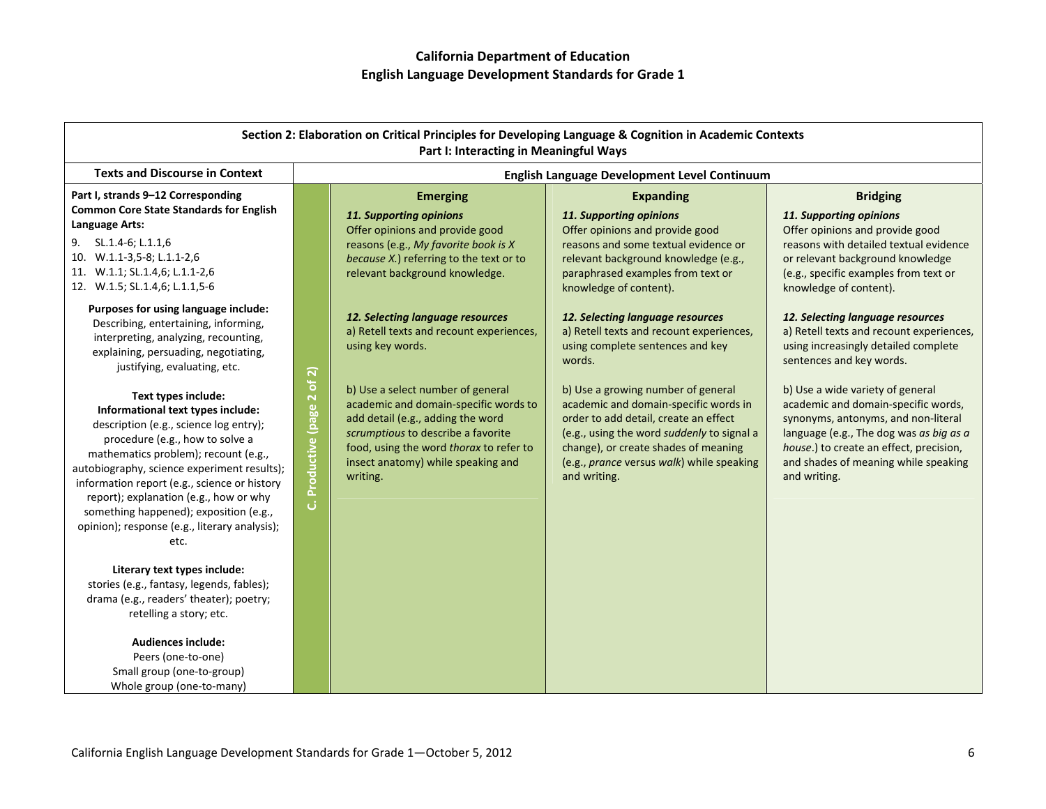| Section 2: Elaboration on Critical Principles for Developing Language & Cognition in Academic Contexts<br>Part I: Interacting in Meaningful Ways                                                                                                                                                                                                                                                                          |                             |                                                                                                                                                                                                                                                    |                                                                                                                                                                                                                                                                         |                                                                                                                                                                                                                                                              |
|---------------------------------------------------------------------------------------------------------------------------------------------------------------------------------------------------------------------------------------------------------------------------------------------------------------------------------------------------------------------------------------------------------------------------|-----------------------------|----------------------------------------------------------------------------------------------------------------------------------------------------------------------------------------------------------------------------------------------------|-------------------------------------------------------------------------------------------------------------------------------------------------------------------------------------------------------------------------------------------------------------------------|--------------------------------------------------------------------------------------------------------------------------------------------------------------------------------------------------------------------------------------------------------------|
| <b>Texts and Discourse in Context</b>                                                                                                                                                                                                                                                                                                                                                                                     |                             |                                                                                                                                                                                                                                                    | English Language Development Level Continuum                                                                                                                                                                                                                            |                                                                                                                                                                                                                                                              |
| Part I, strands 9-12 Corresponding                                                                                                                                                                                                                                                                                                                                                                                        |                             | <b>Emerging</b>                                                                                                                                                                                                                                    | <b>Expanding</b>                                                                                                                                                                                                                                                        | <b>Bridging</b>                                                                                                                                                                                                                                              |
| <b>Common Core State Standards for English</b><br>Language Arts:<br>9.<br>SL.1.4-6; L.1.1,6<br>10. W.1.1-3,5-8; L.1.1-2,6<br>11. W.1.1; SL.1.4,6; L.1.1-2,6<br>12. W.1.5; SL.1.4,6; L.1.1,5-6                                                                                                                                                                                                                             |                             | 11. Supporting opinions<br>Offer opinions and provide good<br>reasons (e.g., My favorite book is X<br>because X.) referring to the text or to<br>relevant background knowledge.                                                                    | 11. Supporting opinions<br>Offer opinions and provide good<br>reasons and some textual evidence or<br>relevant background knowledge (e.g.,<br>paraphrased examples from text or<br>knowledge of content).                                                               | 11. Supporting opinions<br>Offer opinions and provide good<br>reasons with detailed textual evidence<br>or relevant background knowledge<br>(e.g., specific examples from text or<br>knowledge of content).                                                  |
| Purposes for using language include:<br>Describing, entertaining, informing,<br>interpreting, analyzing, recounting,<br>explaining, persuading, negotiating,<br>justifying, evaluating, etc.                                                                                                                                                                                                                              |                             | 12. Selecting language resources<br>a) Retell texts and recount experiences,<br>using key words.                                                                                                                                                   | 12. Selecting language resources<br>a) Retell texts and recount experiences,<br>using complete sentences and key<br>words.                                                                                                                                              | 12. Selecting language resources<br>a) Retell texts and recount experiences,<br>using increasingly detailed complete<br>sentences and key words.                                                                                                             |
| Text types include:<br>Informational text types include:<br>description (e.g., science log entry);<br>procedure (e.g., how to solve a<br>mathematics problem); recount (e.g.,<br>autobiography, science experiment results);<br>information report (e.g., science or history<br>report); explanation (e.g., how or why<br>something happened); exposition (e.g.,<br>opinion); response (e.g., literary analysis);<br>etc. | C. Productive (page 2 of 2) | b) Use a select number of general<br>academic and domain-specific words to<br>add detail (e.g., adding the word<br>scrumptious to describe a favorite<br>food, using the word thorax to refer to<br>insect anatomy) while speaking and<br>writing. | b) Use a growing number of general<br>academic and domain-specific words in<br>order to add detail, create an effect<br>(e.g., using the word suddenly to signal a<br>change), or create shades of meaning<br>(e.g., prance versus walk) while speaking<br>and writing. | b) Use a wide variety of general<br>academic and domain-specific words,<br>synonyms, antonyms, and non-literal<br>language (e.g., The dog was as big as a<br>house.) to create an effect, precision,<br>and shades of meaning while speaking<br>and writing. |
| Literary text types include:<br>stories (e.g., fantasy, legends, fables);<br>drama (e.g., readers' theater); poetry;<br>retelling a story; etc.<br><b>Audiences include:</b><br>Peers (one-to-one)<br>Small group (one-to-group)<br>Whole group (one-to-many)                                                                                                                                                             |                             |                                                                                                                                                                                                                                                    |                                                                                                                                                                                                                                                                         |                                                                                                                                                                                                                                                              |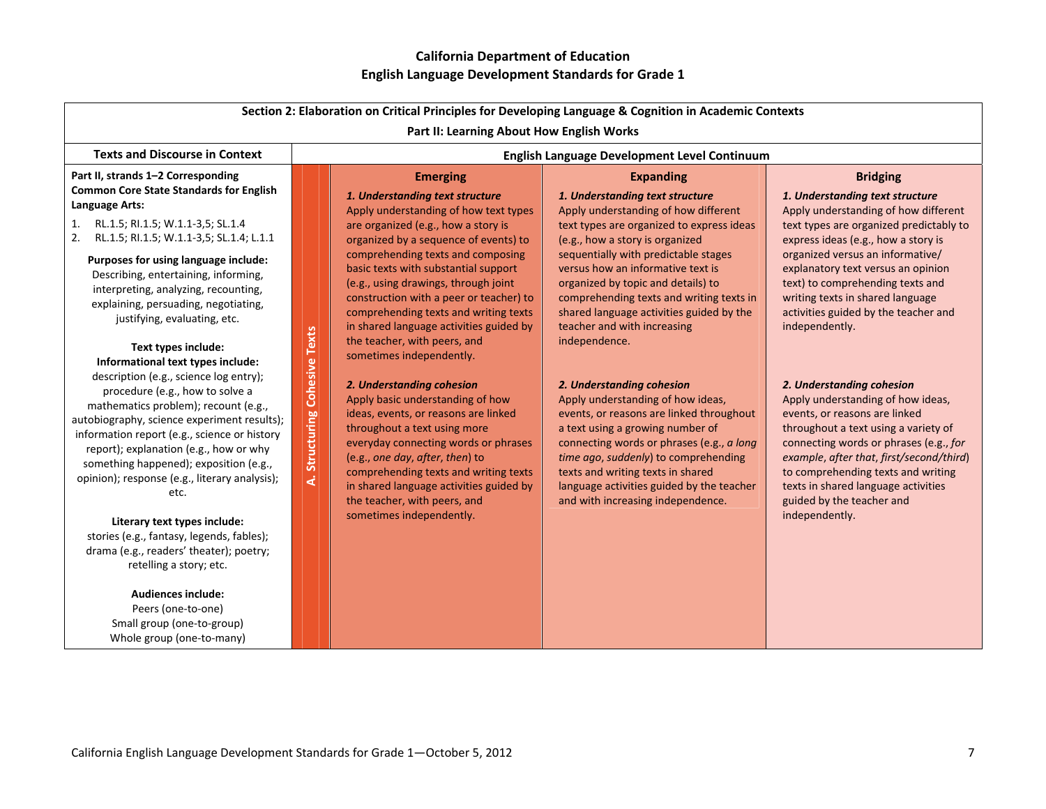| Section 2: Elaboration on Critical Principles for Developing Language & Cognition in Academic Contexts<br>Part II: Learning About How English Works                                                                                                                                                                                                                                                                                                                                                                                                                                                                                                                                                                                                                                                                                                                                                                                           |                                 |                                                                                                                                                                                                                                                                                                                                                                                                                                                                                                                                                                                                                                                                                                                                                                                                                                              |                                                                                                                                                                                                                                                                                                                                                                                                                                                                                                                                                                                                                                                                                                                                                                                  |                                                                                                                                                                                                                                                                                                                                                                                                                                                                                                                                                                                                                                                                                                                                    |
|-----------------------------------------------------------------------------------------------------------------------------------------------------------------------------------------------------------------------------------------------------------------------------------------------------------------------------------------------------------------------------------------------------------------------------------------------------------------------------------------------------------------------------------------------------------------------------------------------------------------------------------------------------------------------------------------------------------------------------------------------------------------------------------------------------------------------------------------------------------------------------------------------------------------------------------------------|---------------------------------|----------------------------------------------------------------------------------------------------------------------------------------------------------------------------------------------------------------------------------------------------------------------------------------------------------------------------------------------------------------------------------------------------------------------------------------------------------------------------------------------------------------------------------------------------------------------------------------------------------------------------------------------------------------------------------------------------------------------------------------------------------------------------------------------------------------------------------------------|----------------------------------------------------------------------------------------------------------------------------------------------------------------------------------------------------------------------------------------------------------------------------------------------------------------------------------------------------------------------------------------------------------------------------------------------------------------------------------------------------------------------------------------------------------------------------------------------------------------------------------------------------------------------------------------------------------------------------------------------------------------------------------|------------------------------------------------------------------------------------------------------------------------------------------------------------------------------------------------------------------------------------------------------------------------------------------------------------------------------------------------------------------------------------------------------------------------------------------------------------------------------------------------------------------------------------------------------------------------------------------------------------------------------------------------------------------------------------------------------------------------------------|
| <b>Texts and Discourse in Context</b>                                                                                                                                                                                                                                                                                                                                                                                                                                                                                                                                                                                                                                                                                                                                                                                                                                                                                                         |                                 |                                                                                                                                                                                                                                                                                                                                                                                                                                                                                                                                                                                                                                                                                                                                                                                                                                              | English Language Development Level Continuum                                                                                                                                                                                                                                                                                                                                                                                                                                                                                                                                                                                                                                                                                                                                     |                                                                                                                                                                                                                                                                                                                                                                                                                                                                                                                                                                                                                                                                                                                                    |
| Part II, strands 1-2 Corresponding                                                                                                                                                                                                                                                                                                                                                                                                                                                                                                                                                                                                                                                                                                                                                                                                                                                                                                            |                                 | <b>Emerging</b>                                                                                                                                                                                                                                                                                                                                                                                                                                                                                                                                                                                                                                                                                                                                                                                                                              | <b>Expanding</b>                                                                                                                                                                                                                                                                                                                                                                                                                                                                                                                                                                                                                                                                                                                                                                 | <b>Bridging</b>                                                                                                                                                                                                                                                                                                                                                                                                                                                                                                                                                                                                                                                                                                                    |
| <b>Common Core State Standards for English</b><br>Language Arts:<br>RL.1.5; RI.1.5; W.1.1-3,5; SL.1.4<br>1.<br>2.<br>RL.1.5; RI.1.5; W.1.1-3,5; SL.1.4; L.1.1<br>Purposes for using language include:<br>Describing, entertaining, informing,<br>interpreting, analyzing, recounting,<br>explaining, persuading, negotiating,<br>justifying, evaluating, etc.<br>Text types include:<br>Informational text types include:<br>description (e.g., science log entry);<br>procedure (e.g., how to solve a<br>mathematics problem); recount (e.g.,<br>autobiography, science experiment results);<br>information report (e.g., science or history<br>report); explanation (e.g., how or why<br>something happened); exposition (e.g.,<br>opinion); response (e.g., literary analysis);<br>etc.<br>Literary text types include:<br>stories (e.g., fantasy, legends, fables);<br>drama (e.g., readers' theater); poetry;<br>retelling a story; etc. | Structuring Cohesive Texts<br>خ | 1. Understanding text structure<br>Apply understanding of how text types<br>are organized (e.g., how a story is<br>organized by a sequence of events) to<br>comprehending texts and composing<br>basic texts with substantial support<br>(e.g., using drawings, through joint<br>construction with a peer or teacher) to<br>comprehending texts and writing texts<br>in shared language activities guided by<br>the teacher, with peers, and<br>sometimes independently.<br>2. Understanding cohesion<br>Apply basic understanding of how<br>ideas, events, or reasons are linked<br>throughout a text using more<br>everyday connecting words or phrases<br>(e.g., one day, after, then) to<br>comprehending texts and writing texts<br>in shared language activities guided by<br>the teacher, with peers, and<br>sometimes independently. | 1. Understanding text structure<br>Apply understanding of how different<br>text types are organized to express ideas<br>(e.g., how a story is organized<br>sequentially with predictable stages<br>versus how an informative text is<br>organized by topic and details) to<br>comprehending texts and writing texts in<br>shared language activities guided by the<br>teacher and with increasing<br>independence.<br>2. Understanding cohesion<br>Apply understanding of how ideas,<br>events, or reasons are linked throughout<br>a text using a growing number of<br>connecting words or phrases (e.g., a long<br>time ago, suddenly) to comprehending<br>texts and writing texts in shared<br>language activities guided by the teacher<br>and with increasing independence. | 1. Understanding text structure<br>Apply understanding of how different<br>text types are organized predictably to<br>express ideas (e.g., how a story is<br>organized versus an informative/<br>explanatory text versus an opinion<br>text) to comprehending texts and<br>writing texts in shared language<br>activities guided by the teacher and<br>independently.<br>2. Understanding cohesion<br>Apply understanding of how ideas,<br>events, or reasons are linked<br>throughout a text using a variety of<br>connecting words or phrases (e.g., for<br>example, after that, first/second/third)<br>to comprehending texts and writing<br>texts in shared language activities<br>guided by the teacher and<br>independently. |
| <b>Audiences include:</b><br>Peers (one-to-one)<br>Small group (one-to-group)<br>Whole group (one-to-many)                                                                                                                                                                                                                                                                                                                                                                                                                                                                                                                                                                                                                                                                                                                                                                                                                                    |                                 |                                                                                                                                                                                                                                                                                                                                                                                                                                                                                                                                                                                                                                                                                                                                                                                                                                              |                                                                                                                                                                                                                                                                                                                                                                                                                                                                                                                                                                                                                                                                                                                                                                                  |                                                                                                                                                                                                                                                                                                                                                                                                                                                                                                                                                                                                                                                                                                                                    |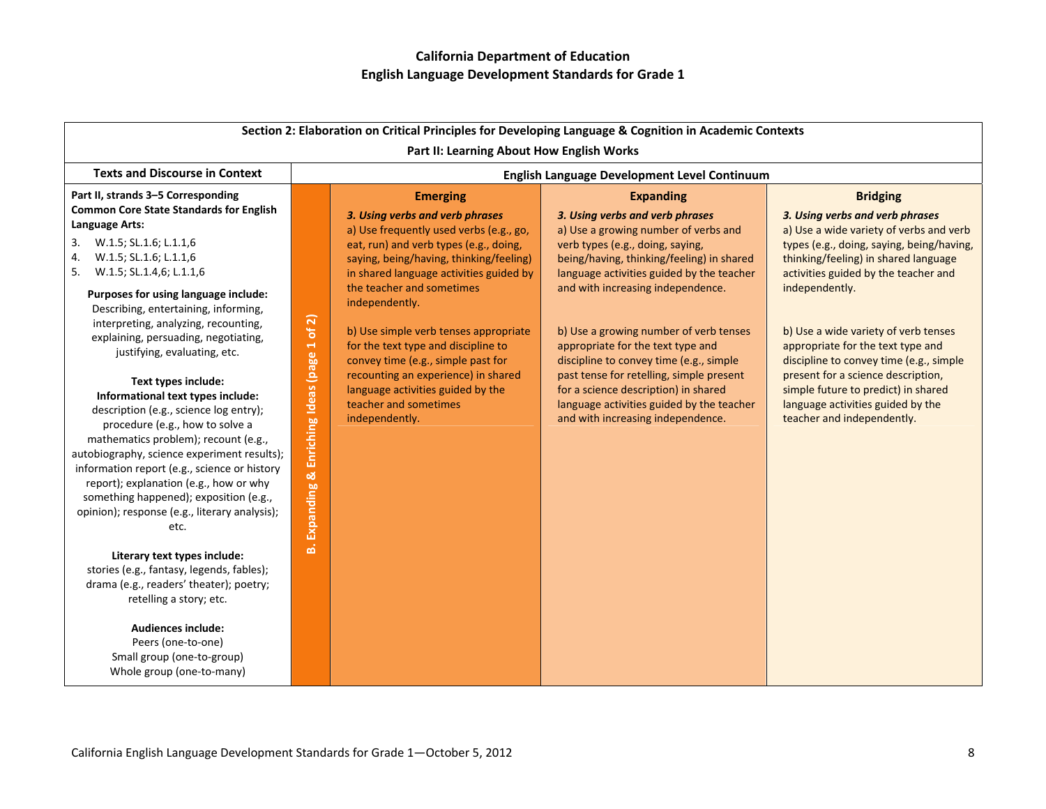|                                                                                                                                                                                                                                                                                                                                                                                                                           |                                                               |                                                                                                                     | Section 2: Elaboration on Critical Principles for Developing Language & Cognition in Academic Contexts                                                             |                                                                                                                                              |
|---------------------------------------------------------------------------------------------------------------------------------------------------------------------------------------------------------------------------------------------------------------------------------------------------------------------------------------------------------------------------------------------------------------------------|---------------------------------------------------------------|---------------------------------------------------------------------------------------------------------------------|--------------------------------------------------------------------------------------------------------------------------------------------------------------------|----------------------------------------------------------------------------------------------------------------------------------------------|
|                                                                                                                                                                                                                                                                                                                                                                                                                           |                                                               | Part II: Learning About How English Works                                                                           |                                                                                                                                                                    |                                                                                                                                              |
| <b>Texts and Discourse in Context</b>                                                                                                                                                                                                                                                                                                                                                                                     |                                                               |                                                                                                                     | English Language Development Level Continuum                                                                                                                       |                                                                                                                                              |
| Part II, strands 3-5 Corresponding<br><b>Common Core State Standards for English</b>                                                                                                                                                                                                                                                                                                                                      |                                                               | <b>Emerging</b>                                                                                                     | <b>Expanding</b>                                                                                                                                                   | <b>Bridging</b>                                                                                                                              |
| Language Arts:                                                                                                                                                                                                                                                                                                                                                                                                            |                                                               | 3. Using verbs and verb phrases<br>a) Use frequently used verbs (e.g., go,                                          | 3. Using verbs and verb phrases<br>a) Use a growing number of verbs and                                                                                            | 3. Using verbs and verb phrases<br>a) Use a wide variety of verbs and verb                                                                   |
| W.1.5; SL.1.6; L.1.1,6<br>3.                                                                                                                                                                                                                                                                                                                                                                                              |                                                               | eat, run) and verb types (e.g., doing,                                                                              | verb types (e.g., doing, saying,                                                                                                                                   | types (e.g., doing, saying, being/having,                                                                                                    |
| W.1.5; SL.1.6; L.1.1,6<br>4.<br>W.1.5; SL.1.4,6; L.1.1,6<br>5.                                                                                                                                                                                                                                                                                                                                                            |                                                               | saying, being/having, thinking/feeling)<br>in shared language activities guided by                                  | being/having, thinking/feeling) in shared<br>language activities guided by the teacher                                                                             | thinking/feeling) in shared language<br>activities guided by the teacher and                                                                 |
| Purposes for using language include:<br>Describing, entertaining, informing,                                                                                                                                                                                                                                                                                                                                              |                                                               | the teacher and sometimes<br>independently.                                                                         | and with increasing independence.                                                                                                                                  | independently.                                                                                                                               |
| interpreting, analyzing, recounting,<br>explaining, persuading, negotiating,<br>justifying, evaluating, etc.                                                                                                                                                                                                                                                                                                              | of 2)                                                         | b) Use simple verb tenses appropriate<br>for the text type and discipline to<br>convey time (e.g., simple past for  | b) Use a growing number of verb tenses<br>appropriate for the text type and<br>discipline to convey time (e.g., simple                                             | b) Use a wide variety of verb tenses<br>appropriate for the text type and<br>discipline to convey time (e.g., simple                         |
| Text types include:<br>Informational text types include:<br>description (e.g., science log entry);<br>procedure (e.g., how to solve a<br>mathematics problem); recount (e.g.,<br>autobiography, science experiment results);<br>information report (e.g., science or history<br>report); explanation (e.g., how or why<br>something happened); exposition (e.g.,<br>opinion); response (e.g., literary analysis);<br>etc. | Enriching Ideas (page 1<br>$\infty$<br><b>Expanding</b><br>ம் | recounting an experience) in shared<br>language activities guided by the<br>teacher and sometimes<br>independently. | past tense for retelling, simple present<br>for a science description) in shared<br>language activities guided by the teacher<br>and with increasing independence. | present for a science description,<br>simple future to predict) in shared<br>language activities guided by the<br>teacher and independently. |
| Literary text types include:<br>stories (e.g., fantasy, legends, fables);<br>drama (e.g., readers' theater); poetry;<br>retelling a story; etc.                                                                                                                                                                                                                                                                           |                                                               |                                                                                                                     |                                                                                                                                                                    |                                                                                                                                              |
| <b>Audiences include:</b><br>Peers (one-to-one)<br>Small group (one-to-group)<br>Whole group (one-to-many)                                                                                                                                                                                                                                                                                                                |                                                               |                                                                                                                     |                                                                                                                                                                    |                                                                                                                                              |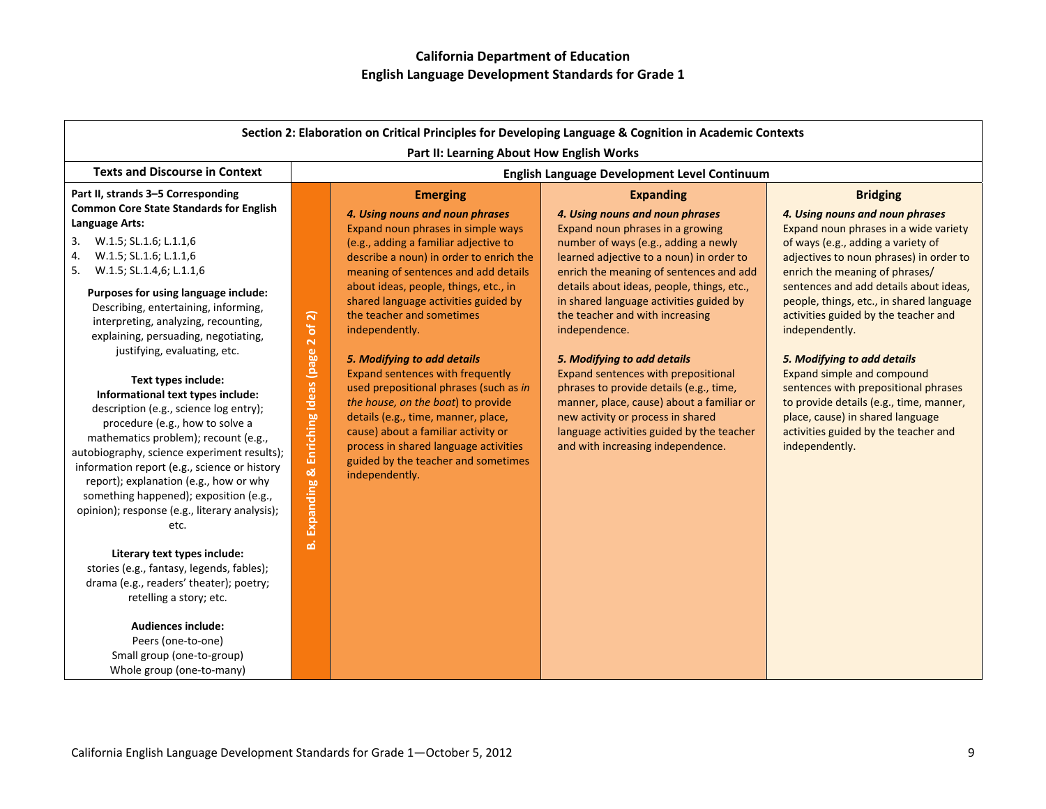| Part II: Learning About How English Works<br>English Language Development Level Continuum<br><b>Expanding</b><br>4. Using nouns and noun phrases                                                                                                                                                                                                                                                                                                                                                                                                                                                  | <b>Bridging</b>                                                                                                                                                                                                                                                                                                                                                                                                                                                                                                                                                                           |
|---------------------------------------------------------------------------------------------------------------------------------------------------------------------------------------------------------------------------------------------------------------------------------------------------------------------------------------------------------------------------------------------------------------------------------------------------------------------------------------------------------------------------------------------------------------------------------------------------|-------------------------------------------------------------------------------------------------------------------------------------------------------------------------------------------------------------------------------------------------------------------------------------------------------------------------------------------------------------------------------------------------------------------------------------------------------------------------------------------------------------------------------------------------------------------------------------------|
|                                                                                                                                                                                                                                                                                                                                                                                                                                                                                                                                                                                                   |                                                                                                                                                                                                                                                                                                                                                                                                                                                                                                                                                                                           |
| Expand noun phrases in a growing<br>number of ways (e.g., adding a newly<br>learned adjective to a noun) in order to<br>enrich the meaning of sentences and add<br>details about ideas, people, things, etc.,<br>in shared language activities guided by<br>the teacher and with increasing<br>independence.<br>5. Modifying to add details<br>Expand sentences with prepositional<br>phrases to provide details (e.g., time,<br>manner, place, cause) about a familiar or<br>new activity or process in shared<br>language activities guided by the teacher<br>and with increasing independence. | 4. Using nouns and noun phrases<br>Expand noun phrases in a wide variety<br>of ways (e.g., adding a variety of<br>adjectives to noun phrases) in order to<br>enrich the meaning of phrases/<br>sentences and add details about ideas,<br>people, things, etc., in shared language<br>activities guided by the teacher and<br>independently.<br>5. Modifying to add details<br>Expand simple and compound<br>sentences with prepositional phrases<br>to provide details (e.g., time, manner,<br>place, cause) in shared language<br>activities guided by the teacher and<br>independently. |
|                                                                                                                                                                                                                                                                                                                                                                                                                                                                                                                                                                                                   |                                                                                                                                                                                                                                                                                                                                                                                                                                                                                                                                                                                           |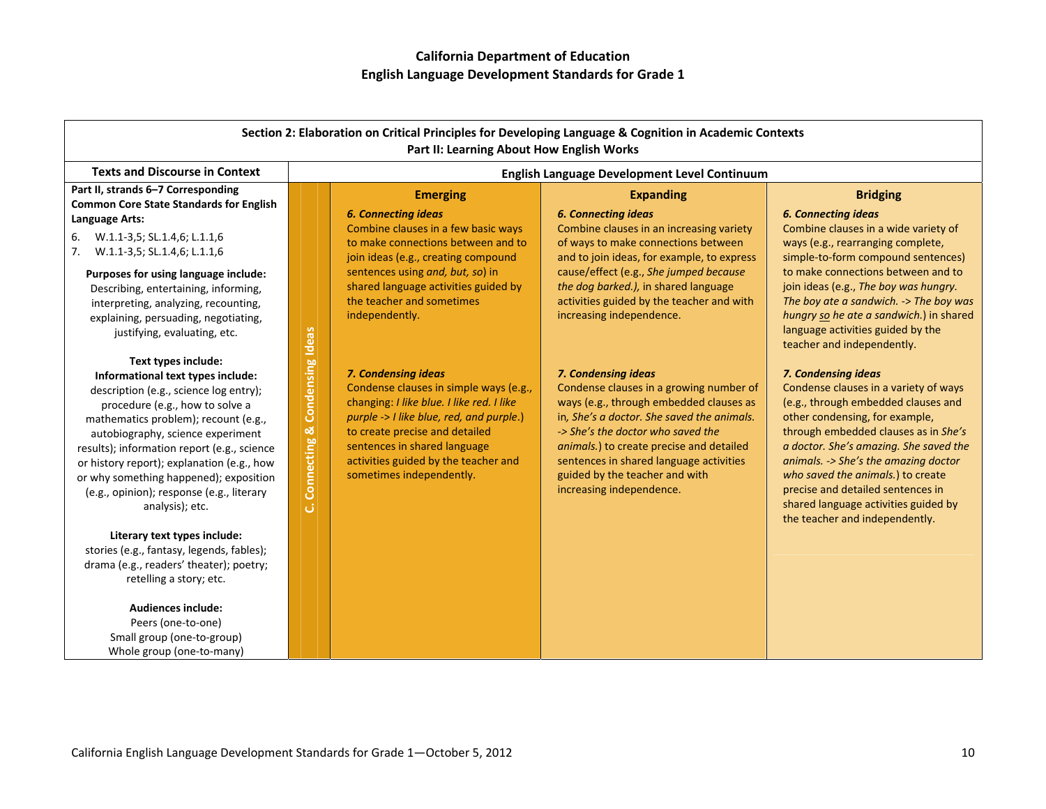|                                                                                                                                                                                                                                                                                                                                                                                                                           |                                                                | Part II: Learning About How English Works                                                                                                                                                                                                                                                    | Section 2: Elaboration on Critical Principles for Developing Language & Cognition in Academic Contexts                                                                                                                                                                                                                                            |                                                                                                                                                                                                                                                                                                                                                                                                                     |
|---------------------------------------------------------------------------------------------------------------------------------------------------------------------------------------------------------------------------------------------------------------------------------------------------------------------------------------------------------------------------------------------------------------------------|----------------------------------------------------------------|----------------------------------------------------------------------------------------------------------------------------------------------------------------------------------------------------------------------------------------------------------------------------------------------|---------------------------------------------------------------------------------------------------------------------------------------------------------------------------------------------------------------------------------------------------------------------------------------------------------------------------------------------------|---------------------------------------------------------------------------------------------------------------------------------------------------------------------------------------------------------------------------------------------------------------------------------------------------------------------------------------------------------------------------------------------------------------------|
| <b>Texts and Discourse in Context</b>                                                                                                                                                                                                                                                                                                                                                                                     |                                                                |                                                                                                                                                                                                                                                                                              | English Language Development Level Continuum                                                                                                                                                                                                                                                                                                      |                                                                                                                                                                                                                                                                                                                                                                                                                     |
| Part II, strands 6-7 Corresponding<br><b>Common Core State Standards for English</b>                                                                                                                                                                                                                                                                                                                                      |                                                                | <b>Emerging</b>                                                                                                                                                                                                                                                                              | <b>Expanding</b>                                                                                                                                                                                                                                                                                                                                  | <b>Bridging</b>                                                                                                                                                                                                                                                                                                                                                                                                     |
| Language Arts:                                                                                                                                                                                                                                                                                                                                                                                                            |                                                                | <b>6. Connecting ideas</b>                                                                                                                                                                                                                                                                   | <b>6. Connecting ideas</b>                                                                                                                                                                                                                                                                                                                        | <b>6. Connecting ideas</b>                                                                                                                                                                                                                                                                                                                                                                                          |
| 6.<br>W.1.1-3,5; SL.1.4,6; L.1.1,6<br>W.1.1-3,5; SL.1.4,6; L.1.1,6<br>7.                                                                                                                                                                                                                                                                                                                                                  |                                                                | Combine clauses in a few basic ways<br>to make connections between and to<br>join ideas (e.g., creating compound                                                                                                                                                                             | Combine clauses in an increasing variety<br>of ways to make connections between<br>and to join ideas, for example, to express                                                                                                                                                                                                                     | Combine clauses in a wide variety of<br>ways (e.g., rearranging complete,<br>simple-to-form compound sentences)                                                                                                                                                                                                                                                                                                     |
| Purposes for using language include:<br>Describing, entertaining, informing,<br>interpreting, analyzing, recounting,<br>explaining, persuading, negotiating,<br>justifying, evaluating, etc.                                                                                                                                                                                                                              |                                                                | sentences using and, but, so) in<br>shared language activities guided by<br>the teacher and sometimes<br>independently.                                                                                                                                                                      | cause/effect (e.g., She jumped because<br>the dog barked.), in shared language<br>activities guided by the teacher and with<br>increasing independence.                                                                                                                                                                                           | to make connections between and to<br>join ideas (e.g., The boy was hungry.<br>The boy ate a sandwich. -> The boy was<br>hungry so he ate a sandwich.) in shared<br>language activities guided by the<br>teacher and independently.                                                                                                                                                                                 |
| Text types include:<br>Informational text types include:<br>description (e.g., science log entry);<br>procedure (e.g., how to solve a<br>mathematics problem); recount (e.g.,<br>autobiography, science experiment<br>results); information report (e.g., science<br>or history report); explanation (e.g., how<br>or why something happened); exposition<br>(e.g., opinion); response (e.g., literary<br>analysis); etc. | <b>Condensing Ideas</b><br><u>ಯ</u><br>Connecting<br>$\vec{a}$ | 7. Condensing ideas<br>Condense clauses in simple ways (e.g.,<br>changing: I like blue. I like red. I like<br>purple -> I like blue, red, and purple.)<br>to create precise and detailed<br>sentences in shared language<br>activities guided by the teacher and<br>sometimes independently. | 7. Condensing ideas<br>Condense clauses in a growing number of<br>ways (e.g., through embedded clauses as<br>in, She's a doctor. She saved the animals.<br>-> She's the doctor who saved the<br>animals.) to create precise and detailed<br>sentences in shared language activities<br>guided by the teacher and with<br>increasing independence. | 7. Condensing ideas<br>Condense clauses in a variety of ways<br>(e.g., through embedded clauses and<br>other condensing, for example,<br>through embedded clauses as in She's<br>a doctor. She's amazing. She saved the<br>animals. -> She's the amazing doctor<br>who saved the animals.) to create<br>precise and detailed sentences in<br>shared language activities guided by<br>the teacher and independently. |
| Literary text types include:<br>stories (e.g., fantasy, legends, fables);<br>drama (e.g., readers' theater); poetry;<br>retelling a story; etc.<br><b>Audiences include:</b><br>Peers (one-to-one)<br>Small group (one-to-group)<br>Whole group (one-to-many)                                                                                                                                                             |                                                                |                                                                                                                                                                                                                                                                                              |                                                                                                                                                                                                                                                                                                                                                   |                                                                                                                                                                                                                                                                                                                                                                                                                     |